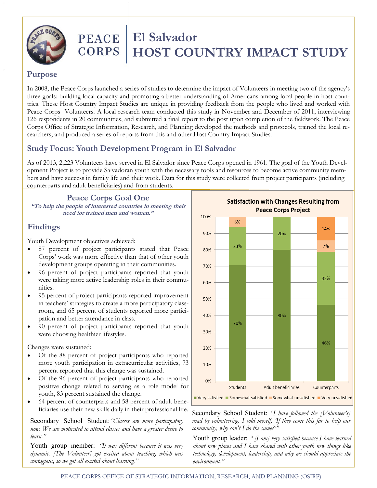

# **PEACE** | El Salvador **CORPS | HOST COUNTRY IMPACT STUDY**

#### **Purpose**

In 2008, the Peace Corps launched a series of studies to determine the impact of Volunteers in meeting two of the agency's three goals: building local capacity and promoting a better understanding of Americans among local people in host countries. These Host Country Impact Studies are unique in providing feedback from the people who lived and worked with Peace Corps Volunteers. A local research team conducted this study in November and December of 2011, interviewing 126 respondents in 20 communities, and submitted a final report to the post upon completion of the fieldwork. The Peace Corps Office of Strategic Information, Research, and Planning developed the methods and protocols, trained the local researchers, and produced a series of reports from this and other Host Country Impact Studies.

# **Study Focus: Youth Development Program in El Salvador**

As of 2013, 2,223 Volunteers have served in El Salvador since Peace Corps opened in 1961. The goal of the Youth Development Project is to provide Salvadoran youth with the necessary tools and resources to become active community members and have success in family life and their work. Data for this study were collected from project participants (including counterparts and adult beneficiaries) and from students.

**Peace Corps Goal One "To help the people of interested countries in meeting their** 

**need for trained men and women."**

## **Findings**

Youth Development objectives achieved:

- 87 percent of project participants stated that Peace Corps' work was more effective than that of other youth development groups operating in their communities.
- 96 percent of project participants reported that youth were taking more active leadership roles in their communities.
- 95 percent of project participants reported improvement in teachers' strategies to create a more participatory classroom, and 65 percent of students reported more participation and better attendance in class.
- 90 percent of project participants reported that youth were choosing healthier lifestyles.

Changes were sustained:

- Of the 88 percent of project participants who reported more youth participation in extracurricular activities, 73 percent reported that this change was sustained.
- Of the 96 percent of project participants who reported positive change related to serving as a role model for youth, 83 percent sustained the change.
- 64 percent of counterparts and 58 percent of adult beneficiaries use their new skills daily in their professional life.

Secondary School Student:*"Classes are more participatory now. We are motivated to attend classes and have a greater desire to learn."* 

Youth group member: *"It was different because it was very dynamic. [The Volunteer] got excited about teaching, which was contagious, so we got all excited about learning."*



Secondary School Student: *"I have followed the [Volunteer's] road by volunteering. I told myself, 'If they come this far to help our community, why can't I do the same?'"*

Youth group leader: *" [I am] very satisfied because I have learned about new places and I have shared with other youth new things like technology, development, leadership, and why we should appreciate the environment."*